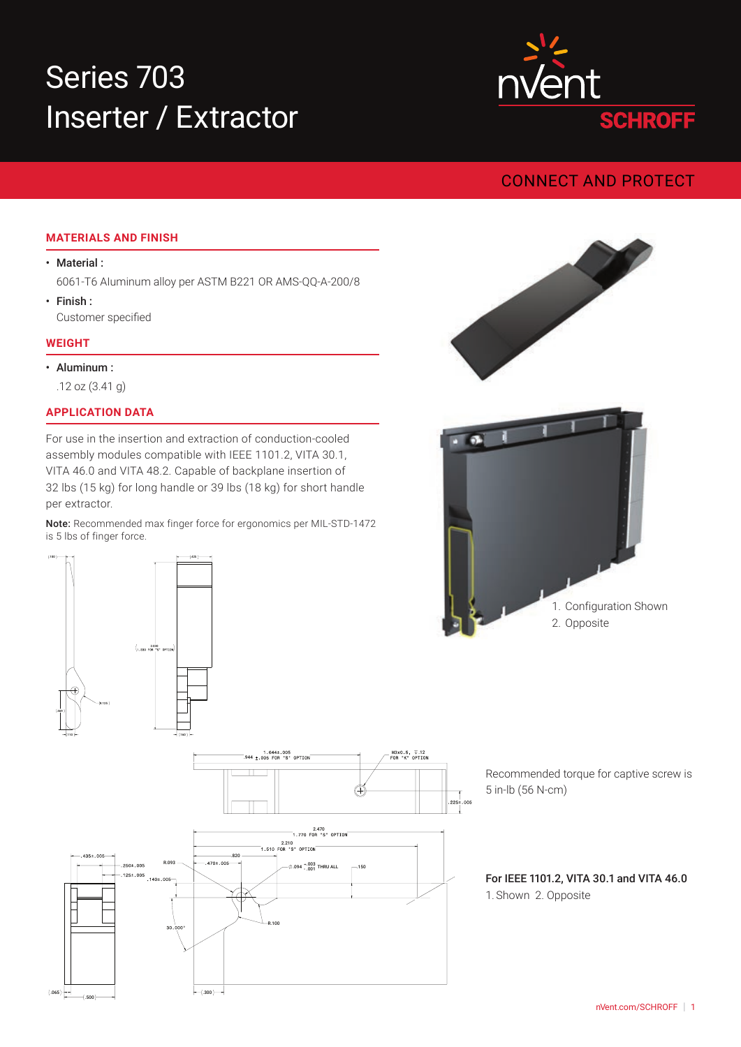# Series 703 Inserter / Extractor



## CONNECT AND PROTECT

### **MATERIALS AND FINISH**

- Material :
	- 6061-T6 AIuminum alloy per ASTM B221 OR AMS-QQ-A-200/8
- Finish :
	- Customer specified

#### **WEIGHT**

.100

- Aluminum :
	- .12 oz (3.41 g)

.500

#### **APPLICATION DATA**

For use in the insertion and extraction of conduction-cooled assembly modules compatible with IEEE 1101.2, VITA 30.1, VITA 46.0 and VITA 48.2. Capable of backplane insertion of 32 lbs (15 kg) for long handle or 39 lbs (18 kg) for short handle per extractor.

Note: Recommended max finger force for ergonomics per MIL-STD-1472 is 5 lbs of finger force.

2.030

 $\int_{\Omega}$  see





Recommended torque for captive screw is 5 in-lb (56 N-cm)

### For IEEE 1101.2, VITA 30.1 and VITA 46.0 1. Shown 2. Opposite